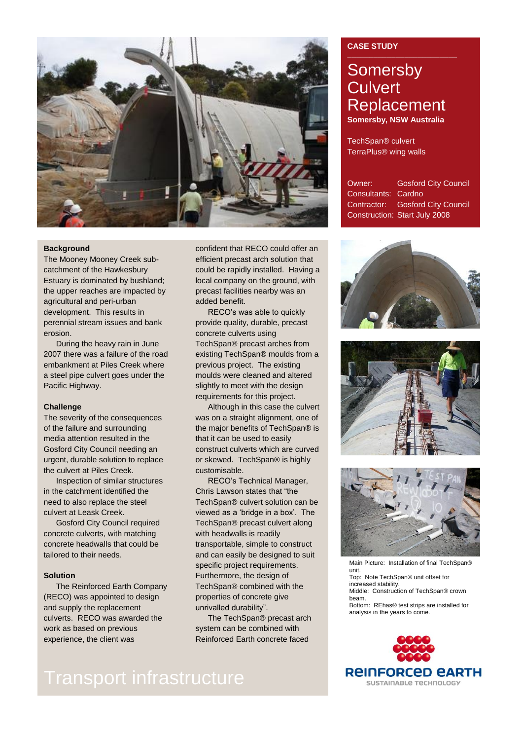

## **Background**

The Mooney Mooney Creek subcatchment of the Hawkesbury Estuary is dominated by bushland; the upper reaches are impacted by agricultural and peri-urban development. This results in perennial stream issues and bank erosion.

During the heavy rain in June 2007 there was a failure of the road embankment at Piles Creek where a steel pipe culvert goes under the Pacific Highway.

## **Challenge**

The severity of the consequences of the failure and surrounding media attention resulted in the Gosford City Council needing an urgent, durable solution to replace the culvert at Piles Creek.

Inspection of similar structures in the catchment identified the need to also replace the steel culvert at Leask Creek.

Gosford City Council required concrete culverts, with matching concrete headwalls that could be tailored to their needs.

## **Solution**

The Reinforced Earth Company (RECO) was appointed to design and supply the replacement culverts. RECO was awarded the work as based on previous experience, the client was

confident that RECO could offer an efficient precast arch solution that could be rapidly installed. Having a local company on the ground, with precast facilities nearby was an added benefit.

RECO's was able to quickly provide quality, durable, precast concrete culverts using TechSpan® precast arches from existing TechSpan® moulds from a previous project. The existing moulds were cleaned and altered slightly to meet with the design requirements for this project.

Although in this case the culvert was on a straight alignment, one of the major benefits of TechSpan® is that it can be used to easily construct culverts which are curved or skewed. TechSpan® is highly customisable.

RECO's Technical Manager, Chris Lawson states that "the TechSpan® culvert solution can be viewed as a 'bridge in a box'. The TechSpan® precast culvert along with headwalls is readily transportable, simple to construct and can easily be designed to suit specific project requirements. Furthermore, the design of TechSpan® combined with the properties of concrete give unrivalled durability".

The TechSpan® precast arch system can be combined with Reinforced Earth concrete faced

## **CASE STUDY**

## **Somersby Culvert** Replacement **Somersby, NSW Australia**

TechSpan® culvert TerraPlus® wing walls

Owner: Gosford City Council Consultants: Cardno Contractor: Gosford City Council Construction: Start July 2008







Main Picture: Installation of final TechSpan® unit. Top: Note TechSpan® unit offset for increased stability. Middle: Construction of TechSpan® crown beam. Bottom: REhas® test strips are installed for analysis in the years to come.



# Transport infrastructure